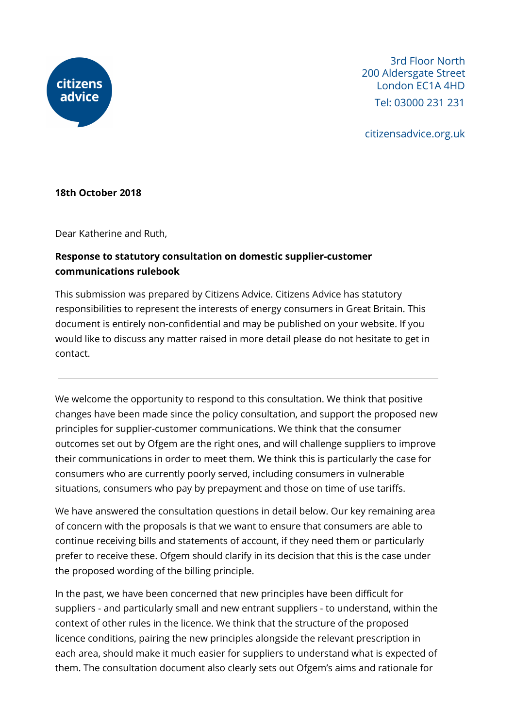

3rd Floor North 200 Aldersgate Street London EC1A 4HD Tel: 03000 231 231

citizensadvice.org.uk

#### **18th October 2018**

Dear Katherine and Ruth,

# **Response to statutory consultation on domestic supplier-customer communications rulebook**

This submission was prepared by Citizens Advice. Citizens Advice has statutory responsibilities to represent the interests of energy consumers in Great Britain. This document is entirely non-confidential and may be published on your website. If you would like to discuss any matter raised in more detail please do not hesitate to get in contact.

We welcome the opportunity to respond to this consultation. We think that positive changes have been made since the policy consultation, and support the proposed new principles for supplier-customer communications. We think that the consumer outcomes set out by Ofgem are the right ones, and will challenge suppliers to improve their communications in order to meet them. We think this is particularly the case for consumers who are currently poorly served, including consumers in vulnerable situations, consumers who pay by prepayment and those on time of use tariffs.

We have answered the consultation questions in detail below. Our key remaining area of concern with the proposals is that we want to ensure that consumers are able to continue receiving bills and statements of account, if they need them or particularly prefer to receive these. Ofgem should clarify in its decision that this is the case under the proposed wording of the billing principle.

In the past, we have been concerned that new principles have been difficult for suppliers - and particularly small and new entrant suppliers - to understand, within the context of other rules in the licence. We think that the structure of the proposed licence conditions, pairing the new principles alongside the relevant prescription in each area, should make it much easier for suppliers to understand what is expected of them. The consultation document also clearly sets out Ofgem's aims and rationale for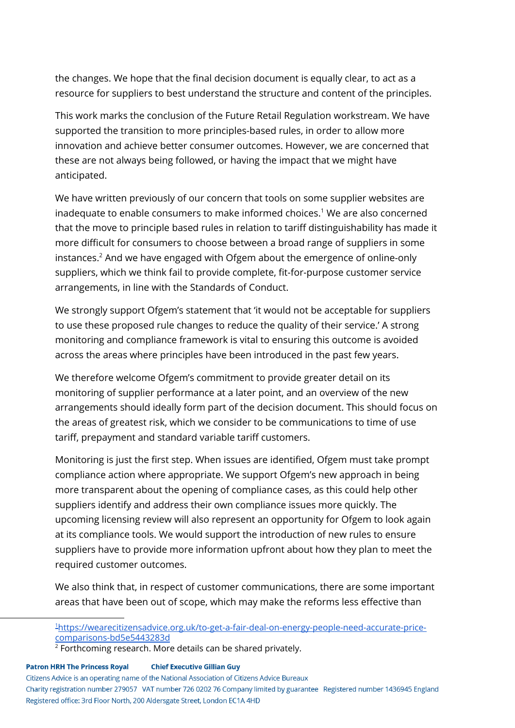the changes. We hope that the final decision document is equally clear, to act as a resource for suppliers to best understand the structure and content of the principles.

This work marks the conclusion of the Future Retail Regulation workstream. We have supported the transition to more principles-based rules, in order to allow more innovation and achieve better consumer outcomes. However, we are concerned that these are not always being followed, or having the impact that we might have anticipated.

We have written previously of our concern that tools on some supplier websites are inadequate to enable consumers to make informed choices.<sup>1</sup> We are also concerned that the move to principle based rules in relation to tariff distinguishability has made it more difficult for consumers to choose between a broad range of suppliers in some instances. $2$  And we have engaged with Ofgem about the emergence of online-only suppliers, which we think fail to provide complete, fit-for-purpose customer service arrangements, in line with the Standards of Conduct.

We strongly support Ofgem's statement that 'it would not be acceptable for suppliers to use these proposed rule changes to reduce the quality of their service.' A strong monitoring and compliance framework is vital to ensuring this outcome is avoided across the areas where principles have been introduced in the past few years.

We therefore welcome Ofgem's commitment to provide greater detail on its monitoring of supplier performance at a later point, and an overview of the new arrangements should ideally form part of the decision document. This should focus on the areas of greatest risk, which we consider to be communications to time of use tariff, prepayment and standard variable tariff customers.

Monitoring is just the first step. When issues are identified, Ofgem must take prompt compliance action where appropriate. We support Ofgem's new approach in being more transparent about the opening of compliance cases, as this could help other suppliers identify and address their own compliance issues more quickly. The upcoming licensing review will also represent an opportunity for Ofgem to look again at its compliance tools. We would support the introduction of new rules to ensure suppliers have to provide more information upfront about how they plan to meet the required customer outcomes.

We also think that, in respect of customer communications, there are some important areas that have been out of scope, which may make the reforms less effective than

1[https://wearecitizensadvice.org.uk/to-get-a-fair-deal-on-energy-people-need-accurate-price](https://wearecitizensadvice.org.uk/to-get-a-fair-deal-on-energy-people-need-accurate-price-comparisons-bd5e5443283d)[comparisons-bd5e5443283d](https://wearecitizensadvice.org.uk/to-get-a-fair-deal-on-energy-people-need-accurate-price-comparisons-bd5e5443283d)

#### **Chief Executive Gillian Guy Patron HRH The Princess Royal**

Citizens Advice is an operating name of the National Association of Citizens Advice Bureaux

<sup>&</sup>lt;sup>2</sup> Forthcoming research. More details can be shared privately.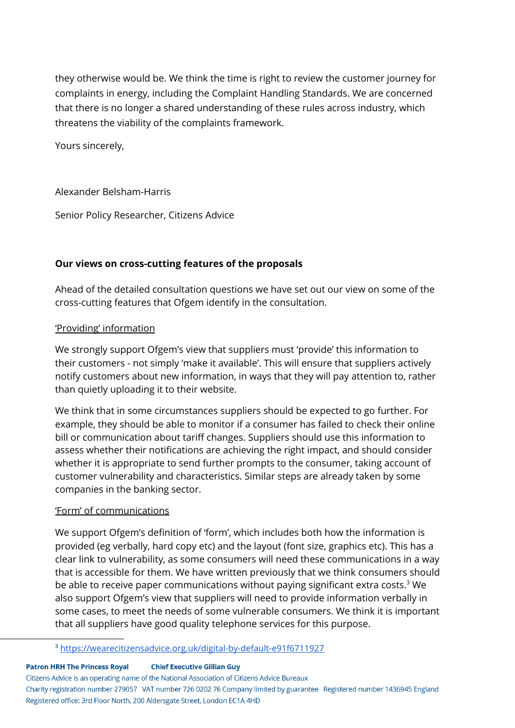they otherwise would be. We think the time is right to review the customer journey for complaints in energy, including the Complaint Handling Standards. We are concerned that there is no longer a shared understanding of these rules across industry, which threatens the viability of the complaints framework.

Yours sincerely,

#### Alexander Belsham-Harris

Senior Policy Researcher, Citizens Advice

#### **Our views on cross-cutting features of the proposals**

Ahead of the detailed consultation questions we have set out our view on some of the cross-cutting features that Ofgem identify in the consultation.

#### 'Providing' information

We strongly support Ofgem's view that suppliers must 'provide' this information to their customers - not simply 'make it available'. This will ensure that suppliers actively notify customers about new information, in ways that they will pay attention to, rather than quietly uploading it to their website.

We think that in some circumstances suppliers should be expected to go further. For example, they should be able to monitor if a consumer has failed to check their online bill or communication about tariff changes. Suppliers should use this information to assess whether their notifications are achieving the right impact, and should consider whether it is appropriate to send further prompts to the consumer, taking account of customer vulnerability and characteristics. Similar steps are already taken by some companies in the banking sector.

#### 'Form' of communications

We support Ofgem's definition of 'form', which includes both how the information is provided (eg verbally, hard copy etc) and the layout (font size, graphics etc). This has a clear link to vulnerability, as some consumers will need these communications in a way that is accessible for them. We have written previously that we think consumers should be able to receive paper communications without paying significant extra costs.<sup>3</sup> We also support Ofgem's view that suppliers will need to provide information verbally in some cases, to meet the needs of some vulnerable consumers. We think it is important that all suppliers have good quality telephone services for this purpose.

<sup>3</sup> <https://wearecitizensadvice.org.uk/digital-by-default-e91f6711927>

#### **Patron HRH The Princess Royal Chief Executive Gillian Guy**

Citizens Advice is an operating name of the National Association of Citizens Advice Bureaux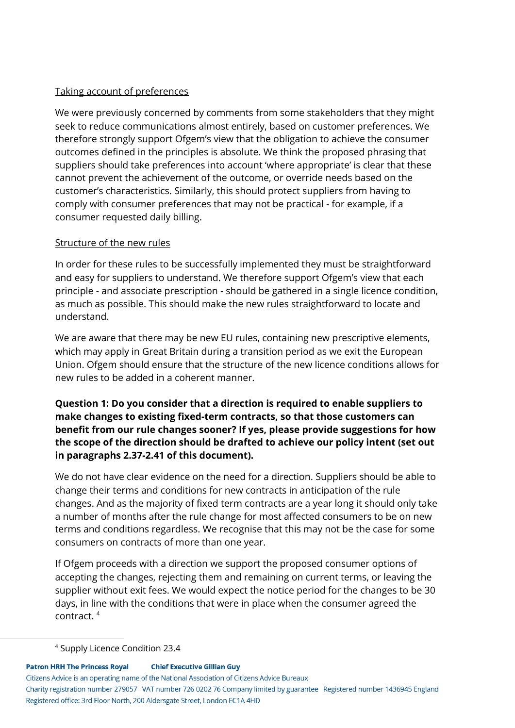## Taking account of preferences

We were previously concerned by comments from some stakeholders that they might seek to reduce communications almost entirely, based on customer preferences. We therefore strongly support Ofgem's view that the obligation to achieve the consumer outcomes defined in the principles is absolute. We think the proposed phrasing that suppliers should take preferences into account 'where appropriate' is clear that these cannot prevent the achievement of the outcome, or override needs based on the customer's characteristics. Similarly, this should protect suppliers from having to comply with consumer preferences that may not be practical - for example, if a consumer requested daily billing.

## Structure of the new rules

In order for these rules to be successfully implemented they must be straightforward and easy for suppliers to understand. We therefore support Ofgem's view that each principle - and associate prescription - should be gathered in a single licence condition, as much as possible. This should make the new rules straightforward to locate and understand.

We are aware that there may be new EU rules, containing new prescriptive elements, which may apply in Great Britain during a transition period as we exit the European Union. Ofgem should ensure that the structure of the new licence conditions allows for new rules to be added in a coherent manner.

## **Question 1: Do you consider that a direction is required to enable suppliers to make changes to existing fixed-term contracts, so that those customers can benefit from our rule changes sooner? If yes, please provide suggestions for how the scope of the direction should be drafted to achieve our policy intent (set out in paragraphs 2.37-2.41 of this document).**

We do not have clear evidence on the need for a direction. Suppliers should be able to change their terms and conditions for new contracts in anticipation of the rule changes. And as the majority of fixed term contracts are a year long it should only take a number of months after the rule change for most affected consumers to be on new terms and conditions regardless. We recognise that this may not be the case for some consumers on contracts of more than one year.

If Ofgem proceeds with a direction we support the proposed consumer options of accepting the changes, rejecting them and remaining on current terms, or leaving the supplier without exit fees. We would expect the notice period for the changes to be 30 days, in line with the conditions that were in place when the consumer agreed the contract. 4

#### **Patron HRH The Princess Royal Chief Executive Gillian Guy**

Citizens Advice is an operating name of the National Association of Citizens Advice Bureaux

<sup>4</sup> Supply Licence Condition 23.4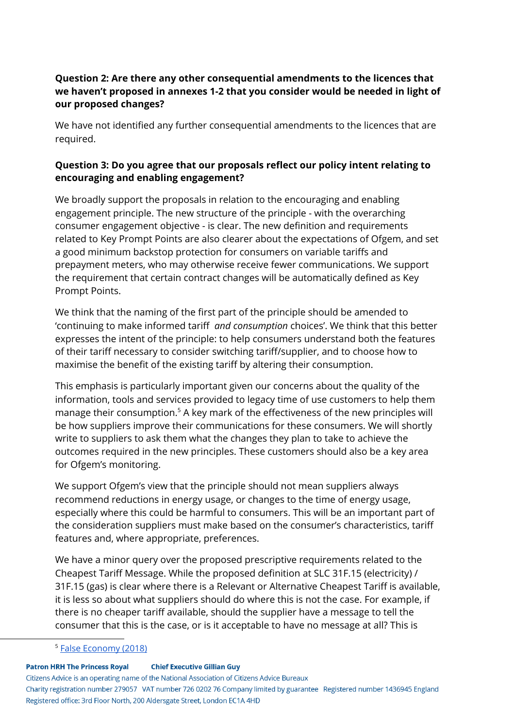## **Question 2: Are there any other consequential amendments to the licences that we haven't proposed in annexes 1-2 that you consider would be needed in light of our proposed changes?**

We have not identified any further consequential amendments to the licences that are required.

## **Question 3: Do you agree that our proposals reflect our policy intent relating to encouraging and enabling engagement?**

We broadly support the proposals in relation to the encouraging and enabling engagement principle. The new structure of the principle - with the overarching consumer engagement objective - is clear. The new definition and requirements related to Key Prompt Points are also clearer about the expectations of Ofgem, and set a good minimum backstop protection for consumers on variable tariffs and prepayment meters, who may otherwise receive fewer communications. We support the requirement that certain contract changes will be automatically defined as Key Prompt Points.

We think that the naming of the first part of the principle should be amended to 'continuing to make informed tariff *and consumption* choices'. We think that this better expresses the intent of the principle: to help consumers understand both the features of their tariff necessary to consider switching tariff/supplier, and to choose how to maximise the benefit of the existing tariff by altering their consumption.

This emphasis is particularly important given our concerns about the quality of the information, tools and services provided to legacy time of use customers to help them manage their consumption. $5$  A key mark of the effectiveness of the new principles will be how suppliers improve their communications for these consumers. We will shortly write to suppliers to ask them what the changes they plan to take to achieve the outcomes required in the new principles. These customers should also be a key area for Ofgem's monitoring.

We support Ofgem's view that the principle should not mean suppliers always recommend reductions in energy usage, or changes to the time of energy usage, especially where this could be harmful to consumers. This will be an important part of the consideration suppliers must make based on the consumer's characteristics, tariff features and, where appropriate, preferences.

We have a minor query over the proposed prescriptive requirements related to the Cheapest Tariff Message. While the proposed definition at SLC 31F.15 (electricity) / 31F.15 (gas) is clear where there is a Relevant or Alternative Cheapest Tariff is available, it is less so about what suppliers should do where this is not the case. For example, if there is no cheaper tariff available, should the supplier have a message to tell the consumer that this is the case, or is it acceptable to have no message at all? This is

<sup>5</sup> False [Economy](https://www.citizensadvice.org.uk/Global/CitizensAdvice/Energy/False%20Economy%20(LToU%20tariffs%20and%20restricted%20meters%20report)%20-%20draft%202%20(2).pdf) (2018)

**Patron HRH The Princess Royal Chief Executive Gillian Guy** 

Citizens Advice is an operating name of the National Association of Citizens Advice Bureaux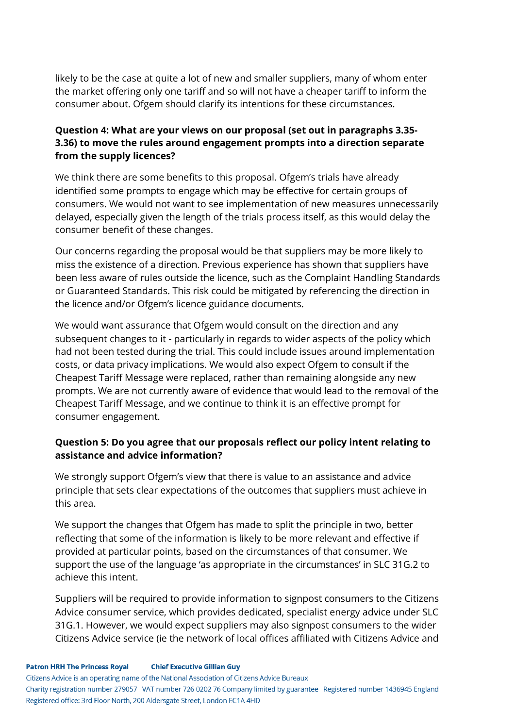likely to be the case at quite a lot of new and smaller suppliers, many of whom enter the market offering only one tariff and so will not have a cheaper tariff to inform the consumer about. Ofgem should clarify its intentions for these circumstances.

## **Question 4: What are your views on our proposal (set out in paragraphs 3.35- 3.36) to move the rules around engagement prompts into a direction separate from the supply licences?**

We think there are some benefits to this proposal. Ofgem's trials have already identified some prompts to engage which may be effective for certain groups of consumers. We would not want to see implementation of new measures unnecessarily delayed, especially given the length of the trials process itself, as this would delay the consumer benefit of these changes.

Our concerns regarding the proposal would be that suppliers may be more likely to miss the existence of a direction. Previous experience has shown that suppliers have been less aware of rules outside the licence, such as the Complaint Handling Standards or Guaranteed Standards. This risk could be mitigated by referencing the direction in the licence and/or Ofgem's licence guidance documents.

We would want assurance that Ofgem would consult on the direction and any subsequent changes to it - particularly in regards to wider aspects of the policy which had not been tested during the trial. This could include issues around implementation costs, or data privacy implications. We would also expect Ofgem to consult if the Cheapest Tariff Message were replaced, rather than remaining alongside any new prompts. We are not currently aware of evidence that would lead to the removal of the Cheapest Tariff Message, and we continue to think it is an effective prompt for consumer engagement.

## **Question 5: Do you agree that our proposals reflect our policy intent relating to assistance and advice information?**

We strongly support Ofgem's view that there is value to an assistance and advice principle that sets clear expectations of the outcomes that suppliers must achieve in this area.

We support the changes that Ofgem has made to split the principle in two, better reflecting that some of the information is likely to be more relevant and effective if provided at particular points, based on the circumstances of that consumer. We support the use of the language 'as appropriate in the circumstances' in SLC 31G.2 to achieve this intent.

Suppliers will be required to provide information to signpost consumers to the Citizens Advice consumer service, which provides dedicated, specialist energy advice under SLC 31G.1. However, we would expect suppliers may also signpost consumers to the wider Citizens Advice service (ie the network of local offices affiliated with Citizens Advice and

Citizens Advice is an operating name of the National Association of Citizens Advice Bureaux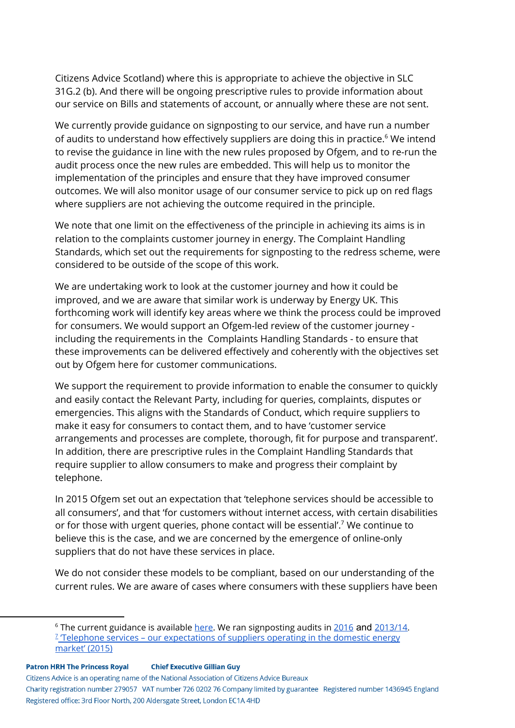Citizens Advice Scotland) where this is appropriate to achieve the objective in SLC 31G.2 (b). And there will be ongoing prescriptive rules to provide information about our service on Bills and statements of account, or annually where these are not sent.

We currently provide guidance on signposting to our service, and have run a number of audits to understand how effectively suppliers are doing this in practice.<sup>6</sup> We intend to revise the guidance in line with the new rules proposed by Ofgem, and to re-run the audit process once the new rules are embedded. This will help us to monitor the implementation of the principles and ensure that they have improved consumer outcomes. We will also monitor usage of our consumer service to pick up on red flags where suppliers are not achieving the outcome required in the principle.

We note that one limit on the effectiveness of the principle in achieving its aims is in relation to the complaints customer journey in energy. The Complaint Handling Standards, which set out the requirements for signposting to the redress scheme, were considered to be outside of the scope of this work.

We are undertaking work to look at the customer journey and how it could be improved, and we are aware that similar work is underway by Energy UK. This forthcoming work will identify key areas where we think the process could be improved for consumers. We would support an Ofgem-led review of the customer journey including the requirements in the Complaints Handling Standards - to ensure that these improvements can be delivered effectively and coherently with the objectives set out by Ofgem here for customer communications.

We support the requirement to provide information to enable the consumer to quickly and easily contact the Relevant Party, including for queries, complaints, disputes or emergencies. This aligns with the Standards of Conduct, which require suppliers to make it easy for consumers to contact them, and to have 'customer service arrangements and processes are complete, thorough, fit for purpose and transparent'. In addition, there are prescriptive rules in the Complaint Handling Standards that require supplier to allow consumers to make and progress their complaint by telephone.

In 2015 Ofgem set out an expectation that 'telephone services should be accessible to all consumers', and that 'for customers without internet access, with certain disabilities or for those with urgent queries, phone contact will be essential'.<sup>7</sup> We continue to believe this is the case, and we are concerned by the emergence of online-only suppliers that do not have these services in place.

We do not consider these models to be compliant, based on our understanding of the current rules. We are aware of cases where consumers with these suppliers have been

Citizens Advice is an operating name of the National Association of Citizens Advice Bureaux

<sup>&</sup>lt;sup>6</sup> The current guidance is available [here.](https://www.citizensadvice.org.uk/about-us/policy/policy-research-topics/energy-policy-research-and-consultation-responses/energy-policy-research/domestic-complaints-signposting-guide/) We ran signposting audits in [2016](https://www.citizensadvice.org.uk/about-us/policy/policy-research-topics/energy-policy-research-and-consultation-responses/energy-policy-research/complaints-signposting-report/) and [2013/14.](https://www.citizensadvice.org.uk/about-us/policy/policy-research-topics/energy-policy-research-and-consultation-responses/energy-policy-research/clear-connections/) <sup>2</sup> Telephone services – our [expectations](https://www.ofgem.gov.uk/publications-and-updates/telephone-services-our-expectations-suppliers-operating-domestic-energy-market) of suppliers operating in the domestic energy [market'](https://www.ofgem.gov.uk/publications-and-updates/telephone-services-our-expectations-suppliers-operating-domestic-energy-market) (2015)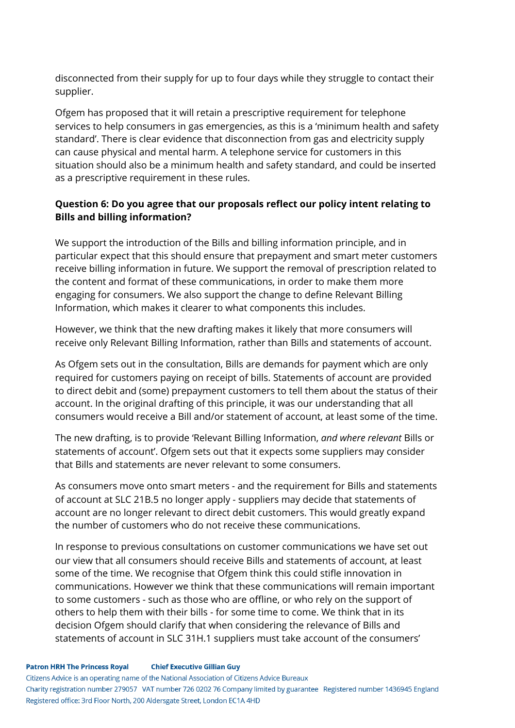disconnected from their supply for up to four days while they struggle to contact their supplier.

Ofgem has proposed that it will retain a prescriptive requirement for telephone services to help consumers in gas emergencies, as this is a 'minimum health and safety standard'. There is clear evidence that disconnection from gas and electricity supply can cause physical and mental harm. A telephone service for customers in this situation should also be a minimum health and safety standard, and could be inserted as a prescriptive requirement in these rules.

## **Question 6: Do you agree that our proposals reflect our policy intent relating to Bills and billing information?**

We support the introduction of the Bills and billing information principle, and in particular expect that this should ensure that prepayment and smart meter customers receive billing information in future. We support the removal of prescription related to the content and format of these communications, in order to make them more engaging for consumers. We also support the change to define Relevant Billing Information, which makes it clearer to what components this includes.

However, we think that the new drafting makes it likely that more consumers will receive only Relevant Billing Information, rather than Bills and statements of account.

As Ofgem sets out in the consultation, Bills are demands for payment which are only required for customers paying on receipt of bills. Statements of account are provided to direct debit and (some) prepayment customers to tell them about the status of their account. In the original drafting of this principle, it was our understanding that all consumers would receive a Bill and/or statement of account, at least some of the time.

The new drafting, is to provide 'Relevant Billing Information, *and where relevant* Bills or statements of account'. Ofgem sets out that it expects some suppliers may consider that Bills and statements are never relevant to some consumers.

As consumers move onto smart meters - and the requirement for Bills and statements of account at SLC 21B.5 no longer apply - suppliers may decide that statements of account are no longer relevant to direct debit customers. This would greatly expand the number of customers who do not receive these communications.

In response to previous consultations on customer communications we have set out our view that all consumers should receive Bills and statements of account, at least some of the time. We recognise that Ofgem think this could stifle innovation in communications. However we think that these communications will remain important to some customers - such as those who are offline, or who rely on the support of others to help them with their bills - for some time to come. We think that in its decision Ofgem should clarify that when considering the relevance of Bills and statements of account in SLC 31H.1 suppliers must take account of the consumers'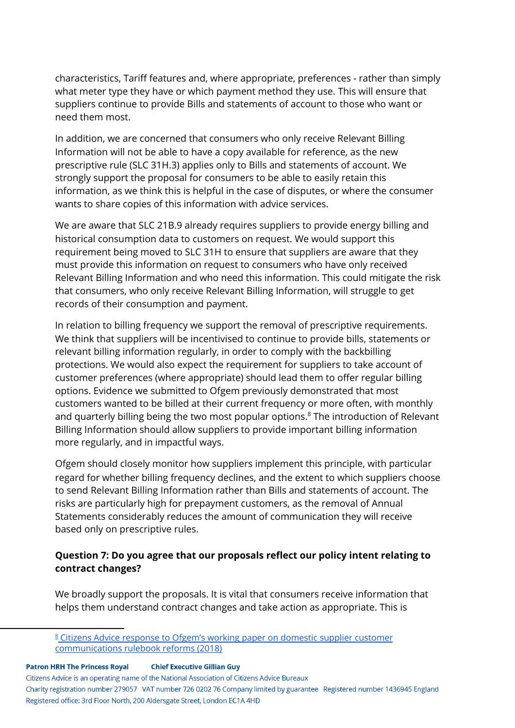characteristics, Tariff features and, where appropriate, preferences - rather than simply what meter type they have or which payment method they use. This will ensure that suppliers continue to provide Bills and statements of account to those who want or need them most.

In addition, we are concerned that consumers who only receive Relevant Billing Information will not be able to have a copy available for reference, as the new prescriptive rule (SLC 31H.3) applies only to Bills and statements of account. We strongly support the proposal for consumers to be able to easily retain this information, as we think this is helpful in the case of disputes, or where the consumer wants to share copies of this information with advice services.

We are aware that SLC 21B.9 already requires suppliers to provide energy billing and historical consumption data to customers on request. We would support this requirement being moved to SLC 31H to ensure that suppliers are aware that they must provide this information on request to consumers who have only received Relevant Billing Information and who need this information. This could mitigate the risk that consumers, who only receive Relevant Billing Information, will struggle to get records of their consumption and payment.

In relation to billing frequency we support the removal of prescriptive requirements. We think that suppliers will be incentivised to continue to provide bills, statements or relevant billing information regularly, in order to comply with the backbilling protections. We would also expect the requirement for suppliers to take account of customer preferences (where appropriate) should lead them to offer regular billing options. Evidence we submitted to Ofgem previously demonstrated that most customers wanted to be billed at their current frequency or more often, with monthly and quarterly billing being the two most popular options. ${}^{8}$  The introduction of Relevant Billing Information should allow suppliers to provide important billing information more regularly, and in impactful ways.

Ofgem should closely monitor how suppliers implement this principle, with particular regard for whether billing frequency declines, and the extent to which suppliers choose to send Relevant Billing Information rather than Bills and statements of account. The risks are particularly high for prepayment customers, as the removal of Annual Statements considerably reduces the amount of communication they will receive based only on prescriptive rules.

## **Question 7: Do you agree that our proposals reflect our policy intent relating to contract changes?**

We broadly support the proposals. It is vital that consumers receive information that helps them understand contract changes and take action as appropriate. This is

**Patron HRH The Princess Royal Chief Executive Gillian Guy** 

Citizens Advice is an operating name of the National Association of Citizens Advice Bureaux

<sup>8</sup> Citizens Advice response to Ofgem's working paper on domestic supplier [customer](https://www.citizensadvice.org.uk/about-us/policy/policy-research-topics/energy-policy-research-and-consultation-responses/energy-consultation-responses/response-to-ofgems-working-paper-on-domestic-supplier-customer-communications-rulebook-reforms/) [communications](https://www.citizensadvice.org.uk/about-us/policy/policy-research-topics/energy-policy-research-and-consultation-responses/energy-consultation-responses/response-to-ofgems-working-paper-on-domestic-supplier-customer-communications-rulebook-reforms/) rulebook reforms (2018)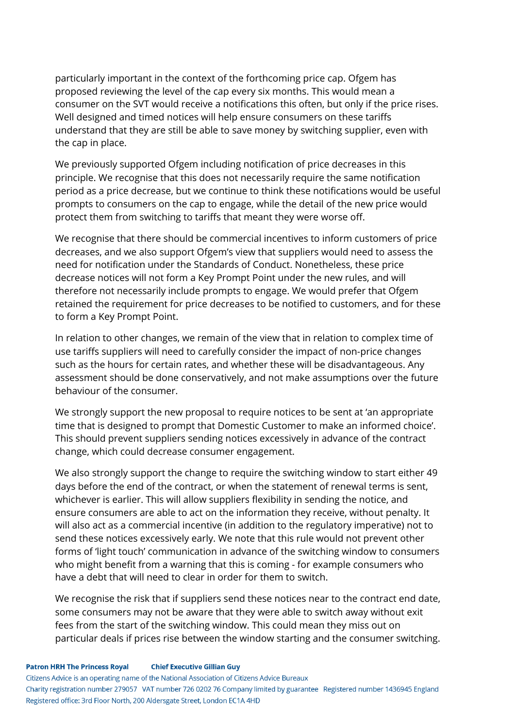particularly important in the context of the forthcoming price cap. Ofgem has proposed reviewing the level of the cap every six months. This would mean a consumer on the SVT would receive a notifications this often, but only if the price rises. Well designed and timed notices will help ensure consumers on these tariffs understand that they are still be able to save money by switching supplier, even with the cap in place.

We previously supported Ofgem including notification of price decreases in this principle. We recognise that this does not necessarily require the same notification period as a price decrease, but we continue to think these notifications would be useful prompts to consumers on the cap to engage, while the detail of the new price would protect them from switching to tariffs that meant they were worse off.

We recognise that there should be commercial incentives to inform customers of price decreases, and we also support Ofgem's view that suppliers would need to assess the need for notification under the Standards of Conduct. Nonetheless, these price decrease notices will not form a Key Prompt Point under the new rules, and will therefore not necessarily include prompts to engage. We would prefer that Ofgem retained the requirement for price decreases to be notified to customers, and for these to form a Key Prompt Point.

In relation to other changes, we remain of the view that in relation to complex time of use tariffs suppliers will need to carefully consider the impact of non-price changes such as the hours for certain rates, and whether these will be disadvantageous. Any assessment should be done conservatively, and not make assumptions over the future behaviour of the consumer.

We strongly support the new proposal to require notices to be sent at 'an appropriate time that is designed to prompt that Domestic Customer to make an informed choice'. This should prevent suppliers sending notices excessively in advance of the contract change, which could decrease consumer engagement.

We also strongly support the change to require the switching window to start either 49 days before the end of the contract, or when the statement of renewal terms is sent, whichever is earlier. This will allow suppliers flexibility in sending the notice, and ensure consumers are able to act on the information they receive, without penalty. It will also act as a commercial incentive (in addition to the regulatory imperative) not to send these notices excessively early. We note that this rule would not prevent other forms of 'light touch' communication in advance of the switching window to consumers who might benefit from a warning that this is coming - for example consumers who have a debt that will need to clear in order for them to switch.

We recognise the risk that if suppliers send these notices near to the contract end date, some consumers may not be aware that they were able to switch away without exit fees from the start of the switching window. This could mean they miss out on particular deals if prices rise between the window starting and the consumer switching.